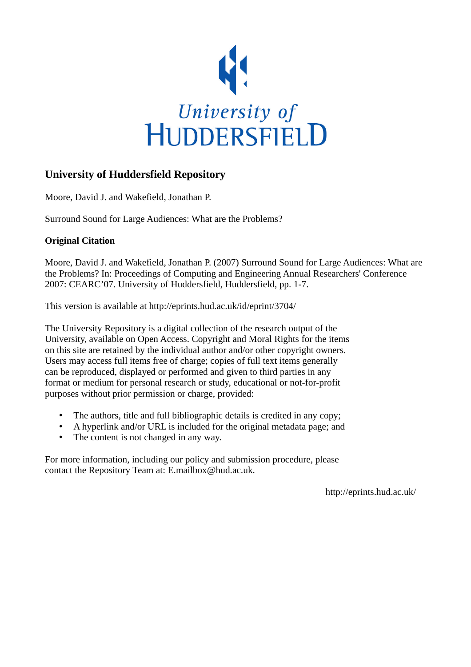

# **University of Huddersfield Repository**

Moore, David J. and Wakefield, Jonathan P.

Surround Sound for Large Audiences: What are the Problems?

## **Original Citation**

Moore, David J. and Wakefield, Jonathan P. (2007) Surround Sound for Large Audiences: What are the Problems? In: Proceedings of Computing and Engineering Annual Researchers' Conference 2007: CEARC'07. University of Huddersfield, Huddersfield, pp. 1-7.

This version is available at http://eprints.hud.ac.uk/id/eprint/3704/

The University Repository is a digital collection of the research output of the University, available on Open Access. Copyright and Moral Rights for the items on this site are retained by the individual author and/or other copyright owners. Users may access full items free of charge; copies of full text items generally can be reproduced, displayed or performed and given to third parties in any format or medium for personal research or study, educational or not-for-profit purposes without prior permission or charge, provided:

- The authors, title and full bibliographic details is credited in any copy;
- A hyperlink and/or URL is included for the original metadata page; and
- The content is not changed in any way.

For more information, including our policy and submission procedure, please contact the Repository Team at: E.mailbox@hud.ac.uk.

http://eprints.hud.ac.uk/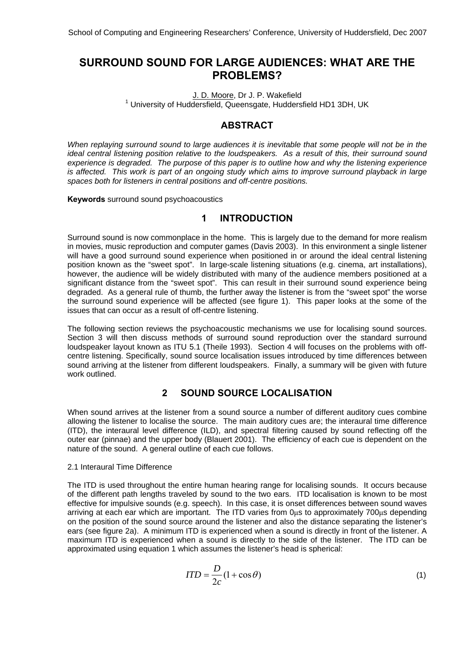## **SURROUND SOUND FOR LARGE AUDIENCES: WHAT ARE THE PROBLEMS?**

J. D. Moore, Dr J. P. Wakefield <sup>1</sup> University of Huddersfield, Queensgate, Huddersfield HD1 3DH, UK

## **ABSTRACT**

*When replaying surround sound to large audiences it is inevitable that some people will not be in the ideal central listening position relative to the loudspeakers. As a result of this, their surround sound experience is degraded. The purpose of this paper is to outline how and why the listening experience*  is affected. This work is part of an ongoing study which aims to improve surround playback in large *spaces both for listeners in central positions and off-centre positions.* 

**Keywords** surround sound psychoacoustics

### **1 INTRODUCTION**

Surround sound is now commonplace in the home. This is largely due to the demand for more realism in movies, music reproduction and computer games (Davis 2003). In this environment a single listener will have a good surround sound experience when positioned in or around the ideal central listening position known as the "sweet spot". In large-scale listening situations (e.g. cinema, art installations), however, the audience will be widely distributed with many of the audience members positioned at a significant distance from the "sweet spot". This can result in their surround sound experience being degraded. As a general rule of thumb, the further away the listener is from the "sweet spot" the worse the surround sound experience will be affected (see figure 1). This paper looks at the some of the issues that can occur as a result of off-centre listening.

The following section reviews the psychoacoustic mechanisms we use for localising sound sources. Section 3 will then discuss methods of surround sound reproduction over the standard surround loudspeaker layout known as ITU 5.1 (Theile 1993). Section 4 will focuses on the problems with offcentre listening. Specifically, sound source localisation issues introduced by time differences between sound arriving at the listener from different loudspeakers. Finally, a summary will be given with future work outlined.

## **2 SOUND SOURCE LOCALISATION**

When sound arrives at the listener from a sound source a number of different auditory cues combine allowing the listener to localise the source. The main auditory cues are; the interaural time difference (ITD), the interaural level difference (ILD), and spectral filtering caused by sound reflecting off the outer ear (pinnae) and the upper body (Blauert 2001). The efficiency of each cue is dependent on the nature of the sound. A general outline of each cue follows.

#### 2.1 Interaural Time Difference

The ITD is used throughout the entire human hearing range for localising sounds. It occurs because of the different path lengths traveled by sound to the two ears. ITD localisation is known to be most effective for impulsive sounds (e.g. speech). In this case, it is onset differences between sound waves arriving at each ear which are important. The ITD varies from 0μs to approximately 700μs depending on the position of the sound source around the listener and also the distance separating the listener's ears (see figure 2a). A minimum ITD is experienced when a sound is directly in front of the listener. A maximum ITD is experienced when a sound is directly to the side of the listener. The ITD can be approximated using equation 1 which assumes the listener's head is spherical:

$$
ITD = \frac{D}{2c}(1 + \cos \theta) \tag{1}
$$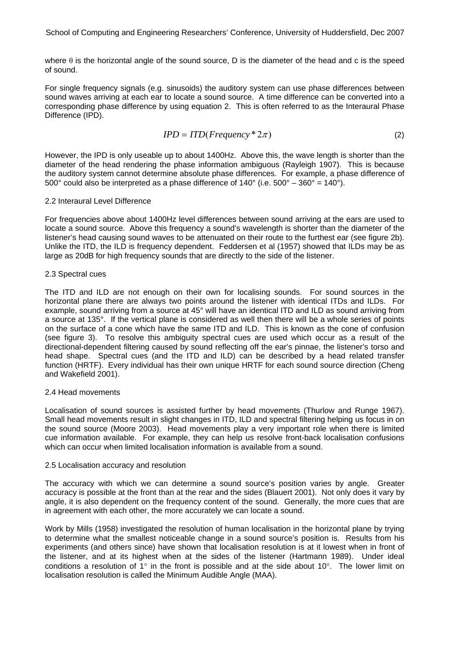where  $\theta$  is the horizontal angle of the sound source. D is the diameter of the head and c is the speed of sound.

For single frequency signals (e.g. sinusoids) the auditory system can use phase differences between sound waves arriving at each ear to locate a sound source. A time difference can be converted into a corresponding phase difference by using equation 2. This is often referred to as the Interaural Phase Difference (IPD).

$$
IPD = ITD(Frequency * 2\pi)
$$
\n<sup>(2)</sup>

However, the IPD is only useable up to about 1400Hz. Above this, the wave length is shorter than the diameter of the head rendering the phase information ambiguous (Rayleigh 1907). This is because the auditory system cannot determine absolute phase differences. For example, a phase difference of  $500^\circ$  could also be interpreted as a phase difference of  $140^\circ$  (i.e.  $500^\circ - 360^\circ = 140^\circ$ ).

#### 2.2 Interaural Level Difference

For frequencies above about 1400Hz level differences between sound arriving at the ears are used to locate a sound source. Above this frequency a sound's wavelength is shorter than the diameter of the listener's head causing sound waves to be attenuated on their route to the furthest ear (see figure 2b). Unlike the ITD, the ILD is frequency dependent. Feddersen et al (1957) showed that ILDs may be as large as 20dB for high frequency sounds that are directly to the side of the listener.

#### 2.3 Spectral cues

The ITD and ILD are not enough on their own for localising sounds. For sound sources in the horizontal plane there are always two points around the listener with identical ITDs and ILDs. For example, sound arriving from a source at 45° will have an identical ITD and ILD as sound arriving from a source at 135°. If the vertical plane is considered as well then there will be a whole series of points on the surface of a cone which have the same ITD and ILD. This is known as the cone of confusion (see figure 3). To resolve this ambiguity spectral cues are used which occur as a result of the directional-dependent filtering caused by sound reflecting off the ear's pinnae, the listener's torso and head shape. Spectral cues (and the ITD and ILD) can be described by a head related transfer function (HRTF). Every individual has their own unique HRTF for each sound source direction (Cheng and Wakefield 2001).

#### 2.4 Head movements

Localisation of sound sources is assisted further by head movements (Thurlow and Runge 1967). Small head movements result in slight changes in ITD, ILD and spectral filtering helping us focus in on the sound source (Moore 2003). Head movements play a very important role when there is limited cue information available. For example, they can help us resolve front-back localisation confusions which can occur when limited localisation information is available from a sound.

#### 2.5 Localisation accuracy and resolution

The accuracy with which we can determine a sound source's position varies by angle. Greater accuracy is possible at the front than at the rear and the sides (Blauert 2001). Not only does it vary by angle, it is also dependent on the frequency content of the sound. Generally, the more cues that are in agreement with each other, the more accurately we can locate a sound.

Work by Mills (1958) investigated the resolution of human localisation in the horizontal plane by trying to determine what the smallest noticeable change in a sound source's position is. Results from his experiments (and others since) have shown that localisation resolution is at it lowest when in front of the listener, and at its highest when at the sides of the listener (Hartmann 1989). Under ideal conditions a resolution of  $1^\circ$  in the front is possible and at the side about  $10^\circ$ . The lower limit on localisation resolution is called the Minimum Audible Angle (MAA).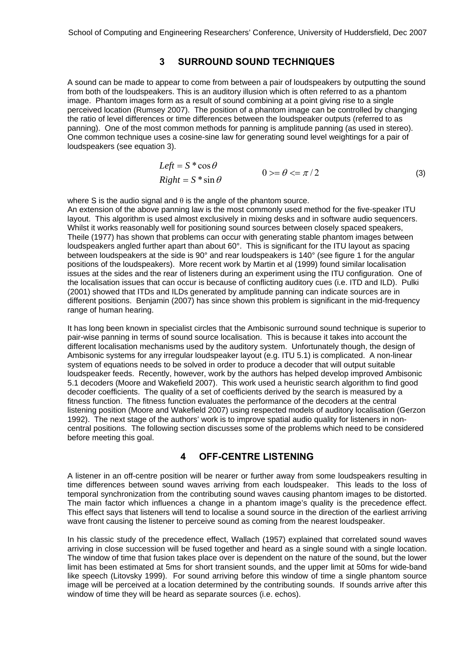## **3 SURROUND SOUND TECHNIQUES**

A sound can be made to appear to come from between a pair of loudspeakers by outputting the sound from both of the loudspeakers. This is an auditory illusion which is often referred to as a phantom image. Phantom images form as a result of sound combining at a point giving rise to a single perceived location (Rumsey 2007). The position of a phantom image can be controlled by changing the ratio of level differences or time differences between the loudspeaker outputs (referred to as panning). One of the most common methods for panning is amplitude panning (as used in stereo). One common technique uses a cosine-sine law for generating sound level weightings for a pair of loudspeakers (see equation 3).

$$
Left = S * cos \theta
$$
  
\n
$$
Right = S * sin \theta
$$
 0> =  $\theta < = \pi/2$  (3)

where S is the audio signal and  $\theta$  is the angle of the phantom source.

An extension of the above panning law is the most commonly used method for the five-speaker ITU layout. This algorithm is used almost exclusively in mixing desks and in software audio sequencers. Whilst it works reasonably well for positioning sound sources between closely spaced speakers, Theile (1977) has shown that problems can occur with generating stable phantom images between loudspeakers angled further apart than about 60°. This is significant for the ITU layout as spacing between loudspeakers at the side is 90° and rear loudspeakers is 140° (see figure 1 for the angular positions of the loudspeakers). More recent work by Martin et al (1999) found similar localisation issues at the sides and the rear of listeners during an experiment using the ITU configuration. One of the localisation issues that can occur is because of conflicting auditory cues (i.e. ITD and ILD). Pulki (2001) showed that ITDs and ILDs generated by amplitude panning can indicate sources are in different positions. Benjamin (2007) has since shown this problem is significant in the mid-frequency range of human hearing.

It has long been known in specialist circles that the Ambisonic surround sound technique is superior to pair-wise panning in terms of sound source localisation. This is because it takes into account the different localisation mechanisms used by the auditory system. Unfortunately though, the design of Ambisonic systems for any irregular loudspeaker layout (e.g. ITU 5.1) is complicated. A non-linear system of equations needs to be solved in order to produce a decoder that will output suitable loudspeaker feeds. Recently, however, work by the authors has helped develop improved Ambisonic 5.1 decoders (Moore and Wakefield 2007). This work used a heuristic search algorithm to find good decoder coefficients. The quality of a set of coefficients derived by the search is measured by a fitness function. The fitness function evaluates the performance of the decoders at the central listening position (Moore and Wakefield 2007) using respected models of auditory localisation (Gerzon 1992). The next stage of the authors' work is to improve spatial audio quality for listeners in noncentral positions. The following section discusses some of the problems which need to be considered before meeting this goal.

## **4 OFF-CENTRE LISTENING**

A listener in an off-centre position will be nearer or further away from some loudspeakers resulting in time differences between sound waves arriving from each loudspeaker. This leads to the loss of temporal synchronization from the contributing sound waves causing phantom images to be distorted. The main factor which influences a change in a phantom image's quality is the precedence effect. This effect says that listeners will tend to localise a sound source in the direction of the earliest arriving wave front causing the listener to perceive sound as coming from the nearest loudspeaker.

In his classic study of the precedence effect, Wallach (1957) explained that correlated sound waves arriving in close succession will be fused together and heard as a single sound with a single location. The window of time that fusion takes place over is dependent on the nature of the sound, but the lower limit has been estimated at 5ms for short transient sounds, and the upper limit at 50ms for wide-band like speech (Litovsky 1999). For sound arriving before this window of time a single phantom source image will be perceived at a location determined by the contributing sounds. If sounds arrive after this window of time they will be heard as separate sources (i.e. echos).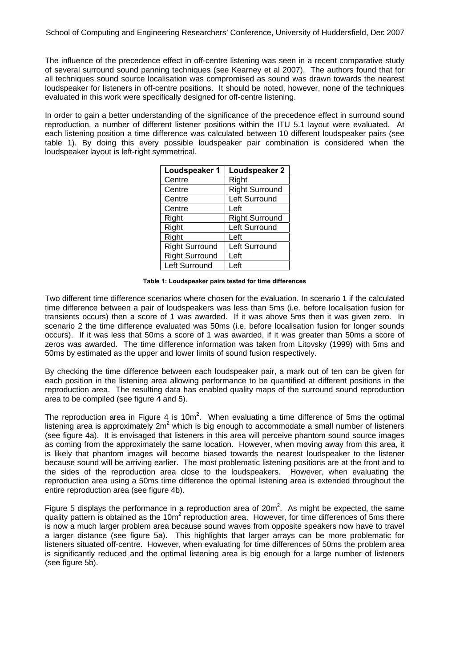The influence of the precedence effect in off-centre listening was seen in a recent comparative study of several surround sound panning techniques (see Kearney et al 2007). The authors found that for all techniques sound source localisation was compromised as sound was drawn towards the nearest loudspeaker for listeners in off-centre positions. It should be noted, however, none of the techniques evaluated in this work were specifically designed for off-centre listening.

In order to gain a better understanding of the significance of the precedence effect in surround sound reproduction, a number of different listener positions within the ITU 5.1 layout were evaluated. At each listening position a time difference was calculated between 10 different loudspeaker pairs (see table 1). By doing this every possible loudspeaker pair combination is considered when the loudspeaker layout is left-right symmetrical.

| Loudspeaker 1         | Loudspeaker 2         |
|-----------------------|-----------------------|
| Centre                | Right                 |
| Centre                | <b>Right Surround</b> |
| Centre                | Left Surround         |
| Centre                | Left                  |
| Right                 | <b>Right Surround</b> |
| Right                 | Left Surround         |
| Right                 | Left                  |
| <b>Right Surround</b> | Left Surround         |
| <b>Right Surround</b> | Left                  |
| Left Surround         | Left                  |

**Table 1: Loudspeaker pairs tested for time differences** 

Two different time difference scenarios where chosen for the evaluation. In scenario 1 if the calculated time difference between a pair of loudspeakers was less than 5ms (i.e. before localisation fusion for transients occurs) then a score of 1 was awarded. If it was above 5ms then it was given zero. In scenario 2 the time difference evaluated was 50ms (i.e. before localisation fusion for longer sounds occurs). If it was less that 50ms a score of 1 was awarded, if it was greater than 50ms a score of zeros was awarded. The time difference information was taken from Litovsky (1999) with 5ms and 50ms by estimated as the upper and lower limits of sound fusion respectively.

By checking the time difference between each loudspeaker pair, a mark out of ten can be given for each position in the listening area allowing performance to be quantified at different positions in the reproduction area. The resulting data has enabled quality maps of the surround sound reproduction area to be compiled (see figure 4 and 5).

The reproduction area in Figure 4 is 10m<sup>2</sup>. When evaluating a time difference of 5ms the optimal listening area is approximately 2m<sup>2</sup> which is big enough to accommodate a small number of listeners (see figure 4a). It is envisaged that listeners in this area will perceive phantom sound source images as coming from the approximately the same location. However, when moving away from this area, it is likely that phantom images will become biased towards the nearest loudspeaker to the listener because sound will be arriving earlier. The most problematic listening positions are at the front and to the sides of the reproduction area close to the loudspeakers. However, when evaluating the reproduction area using a 50ms time difference the optimal listening area is extended throughout the entire reproduction area (see figure 4b).

Figure 5 displays the performance in a reproduction area of 20m<sup>2</sup>. As might be expected, the same quality pattern is obtained as the 10m<sup>2</sup> reproduction area. However, for time differences of 5ms there is now a much larger problem area because sound waves from opposite speakers now have to travel a larger distance (see figure 5a). This highlights that larger arrays can be more problematic for listeners situated off-centre. However, when evaluating for time differences of 50ms the problem area is significantly reduced and the optimal listening area is big enough for a large number of listeners (see figure 5b).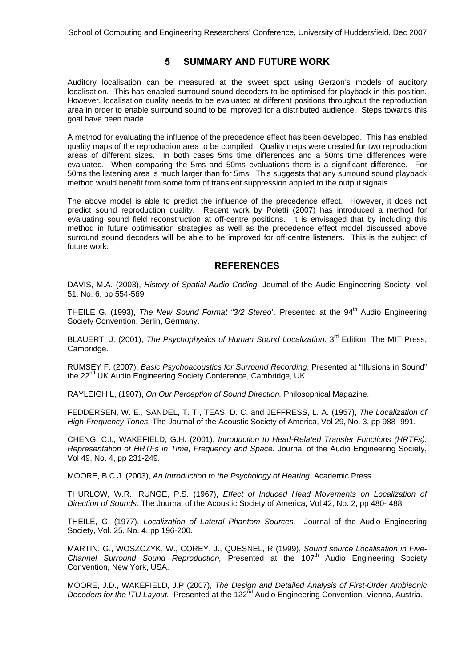## **5 SUMMARY AND FUTURE WORK**

Auditory localisation can be measured at the sweet spot using Gerzon's models of auditory localisation. This has enabled surround sound decoders to be optimised for playback in this position. However, localisation quality needs to be evaluated at different positions throughout the reproduction area in order to enable surround sound to be improved for a distributed audience. Steps towards this goal have been made.

A method for evaluating the influence of the precedence effect has been developed. This has enabled quality maps of the reproduction area to be compiled. Quality maps were created for two reproduction areas of different sizes. In both cases 5ms time differences and a 50ms time differences were evaluated. When comparing the 5ms and 50ms evaluations there is a significant difference. For 50ms the listening area is much larger than for 5ms. This suggests that any surround sound playback method would benefit from some form of transient suppression applied to the output signals.

The above model is able to predict the influence of the precedence effect. However, it does not predict sound reproduction quality. Recent work by Poletti (2007) has introduced a method for evaluating sound field reconstruction at off-centre positions. It is envisaged that by including this method in future optimisation strategies as well as the precedence effect model discussed above surround sound decoders will be able to be improved for off-centre listeners. This is the subject of future work.

## **REFERENCES**

DAVIS, M.A. (2003), *History of Spatial Audio Coding,* Journal of the Audio Engineering Society, Vol 51, No. 6, pp 554-569.

THEILE G. (1993), *The New Sound Format "3/2 Stereo"*. Presented at the 94<sup>th</sup> Audio Engineering Society Convention, Berlin, Germany.

BLAUERT, J. (2001), *The Psychophysics of Human Sound Localization*. 3<sup>rd</sup> Edition. The MIT Press, Cambridge.

RUMSEY F. (2007), *Basic Psychoacoustics for Surround Recording*. Presented at "Illusions in Sound" the 22<sup>nd</sup> UK Audio Engineering Society Conference, Cambridge, UK.

RAYLEIGH L, (1907), *On Our Perception of Sound Direction.* Philosophical Magazine.

FEDDERSEN, W. E., SANDEL, T. T., TEAS, D. C. and JEFFRESS, L. A. (1957), *The Localization of High-Frequency Tones,* The Journal of the Acoustic Society of America, Vol 29, No. 3, pp 988- 991.

CHENG, C.I., WAKEFIELD, G.H. (2001), *Introduction to Head-Related Transfer Functions (HRTFs): Representation of HRTFs in Time, Frequency and Space.* Journal of the Audio Engineering Society, Vol 49, No. 4, pp 231-249.

MOORE, B.C.J. (2003), *An Introduction to the Psychology of Hearing.* Academic Press

THURLOW, W.R., RUNGE, P.S. (1967), *Effect of Induced Head Movements on Localization of Direction of Sounds.* The Journal of the Acoustic Society of America, Vol 42, No. 2, pp 480- 488.

THEILE, G. (1977), *Localization of Lateral Phantom Sources.* Journal of the Audio Engineering Society, Vol. 25, No. 4, pp 196-200.

MARTIN, G., WOSZCZYK, W., COREY, J., QUESNEL, R (1999), *Sound source Localisation in Five-Channel Surround Sound Reproduction.* Presented at the 107<sup>th</sup> Audio Engineering Society Convention, New York, USA.

MOORE, J.D., WAKEFIELD, J.P (2007), *The Design and Detailed Analysis of First-Order Ambisonic*  Decoders for the ITU Layout. Presented at the 122<sup>nd</sup> Audio Engineering Convention, Vienna, Austria.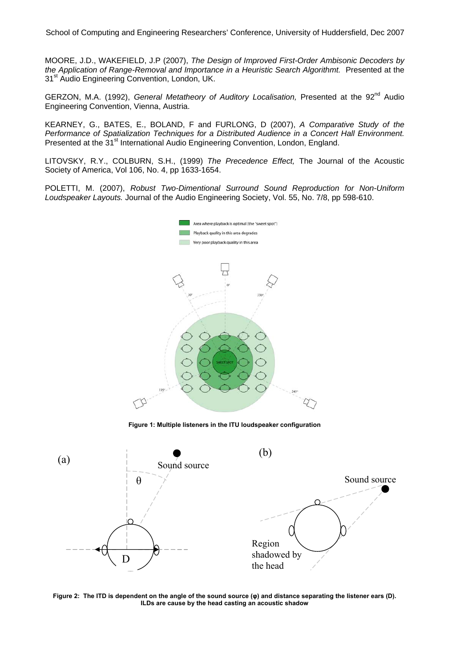MOORE, J.D., WAKEFIELD, J.P (2007), *The Design of Improved First-Order Ambisonic Decoders by*  the Application of Range-Removal and Importance in a Heuristic Search Algorithmt. Presented at the 31<sup>st</sup> Audio Engineering Convention, London, UK.

GERZON, M.A. (1992), *General Metatheory of Auditory Localisation*, Presented at the 92<sup>nd</sup> Audio Engineering Convention, Vienna, Austria.

KEARNEY, G., BATES, E., BOLAND, F and FURLONG, D (2007), *A Comparative Study of the Performance of Spatialization Techniques for a Distributed Audience in a Concert Hall Environment.* Presented at the 31<sup>st</sup> International Audio Engineering Convention, London, England.

LITOVSKY, R.Y., COLBURN, S.H., (1999) *The Precedence Effect,* The Journal of the Acoustic Society of America, Vol 106, No. 4, pp 1633-1654.

POLETTI, M. (2007), *Robust Two-Dimentional Surround Sound Reproduction for Non-Uniform Loudspeaker Layouts.* Journal of the Audio Engineering Society, Vol. 55, No. 7/8, pp 598-610.



**Figure 1: Multiple listeners in the ITU loudspeaker configuration** 



**Figure 2: The ITD is dependent on the angle of the sound source (φ) and distance separating the listener ears (D). ILDs are cause by the head casting an acoustic shadow**